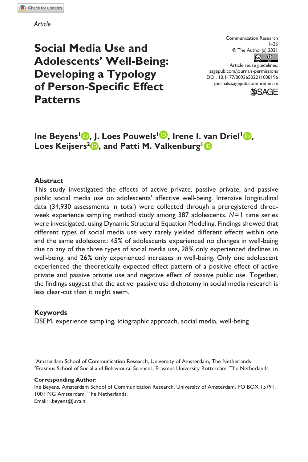# **Social Media Use and Adolescents' Well-Being: Developing a Typology of Person-Specific Effect Patterns**

Communication Research  $1 - 26$ © The Author(s) 2021  $\circ$   $\circ$ 

DOI: 10.1177/00936502211038196 Article reuse guidelines: [sagepub.com/journals-permissions](https://us.sagepub.com/en-us/journals-permissions) [journals.sagepub.com/home/crx](https://journals.sagepub.com/home/crx)



# **Ine Beyens<sup>1</sup> <b>b**, J. Loes Pouwels<sup>1</sup> **b**, Irene I. van Driel<sup>1</sup> **b**, Loes Keijsers<sup>2</sup> **b**, and Patti M. Valkenburg<sup>1</sup> **b**

# **Abstract**

This study investigated the effects of active private, passive private, and passive public social media use on adolescents' affective well-being. Intensive longitudinal data (34,930 assessments in total) were collected through a preregistered threeweek experience sampling method study among 387 adolescents. *N*=1 time series were investigated, using Dynamic Structural Equation Modeling. Findings showed that different types of social media use very rarely yielded different effects within one and the same adolescent: 45% of adolescents experienced no changes in well-being due to any of the three types of social media use, 28% only experienced declines in well-being, and 26% only experienced increases in well-being. Only one adolescent experienced the theoretically expected effect pattern of a positive effect of active private and passive private use and negative effect of passive public use. Together, the findings suggest that the active–passive use dichotomy in social media research is less clear-cut than it might seem.

### **Keywords**

DSEM, experience sampling, idiographic approach, social media, well-being

<sup>1</sup>Amsterdam School of Communication Research, University of Amsterdam, The Netherlands 2 Erasmus School of Social and Behavioural Sciences, Erasmus University Rotterdam, The Netherlands

#### **Corresponding Author:**

Ine Beyens, Amsterdam School of Communication Research, University of Amsterdam, PO BOX 15791, 1001 NG Amsterdam, The Netherlands. Email: i.beyens@uva.nl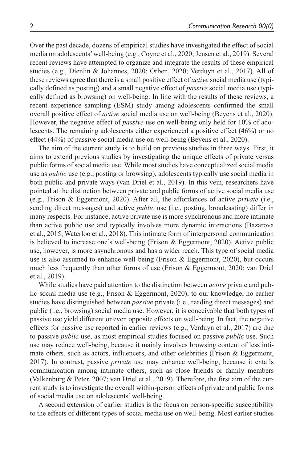Over the past decade, dozens of empirical studies have investigated the effect of social media on adolescents' well-being (e.g., Coyne et al., 2020; Jensen et al., 2019). Several recent reviews have attempted to organize and integrate the results of these empirical studies (e.g., Dienlin & Johannes, 2020; Orben, 2020; Verduyn et al., 2017). All of these reviews agree that there is a small positive effect of *active* social media use (typically defined as posting) and a small negative effect of *passive* social media use (typically defined as browsing) on well-being. In line with the results of these reviews, a recent experience sampling (ESM) study among adolescents confirmed the small overall positive effect of *active* social media use on well-being (Beyens et al., 2020). However, the negative effect of *passive* use on well-being only held for 10% of adolescents. The remaining adolescents either experienced a positive effect (46%) or no effect (44%) of passive social media use on well-being (Beyens et al., 2020).

The aim of the current study is to build on previous studies in three ways. First, it aims to extend previous studies by investigating the unique effects of private versus public forms of social media use. While most studies have conceptualized social media use as *public* use (e.g., posting or browsing), adolescents typically use social media in both public and private ways (van Driel et al., 2019). In this vein, researchers have pointed at the distinction between private and public forms of active social media use (e.g., Frison & Eggermont, 2020). After all, the affordances of active *private* (i.e., sending direct messages) and active *public* use (i.e., posting, broadcasting) differ in many respects. For instance, active private use is more synchronous and more intimate than active public use and typically involves more dynamic interactions (Bazarova et al., 2015; Waterloo et al., 2018). This intimate form of interpersonal communication is believed to increase one's well-being (Frison & Eggermont, 2020). Active public use, however, is more asynchronous and has a wider reach. This type of social media use is also assumed to enhance well-being (Frison & Eggermont, 2020), but occurs much less frequently than other forms of use (Frison & Eggermont, 2020; van Driel et al., 2019).

While studies have paid attention to the distinction between *active* private and public social media use (e.g., Frison & Eggermont, 2020), to our knowledge, no earlier studies have distinguished between *passive* private (i.e., reading direct messages) and public (i.e., browsing) social media use. However, it is conceivable that both types of passive use yield different or even opposite effects on well-being. In fact, the negative effects for passive use reported in earlier reviews (e.g., Verduyn et al., 2017) are due to passive *public* use, as most empirical studies focused on passive *public* use. Such use may reduce well-being, because it mainly involves browsing content of less intimate others, such as actors, influencers, and other celebrities (Frison & Eggermont, 2017). In contrast, passive *private* use may enhance well-being, because it entails communication among intimate others, such as close friends or family members (Valkenburg & Peter, 2007; van Driel et al., 2019). Therefore, the first aim of the current study is to investigate the overall within-person effects of private and public forms of social media use on adolescents' well-being.

A second extension of earlier studies is the focus on person-specific susceptibility to the effects of different types of social media use on well-being. Most earlier studies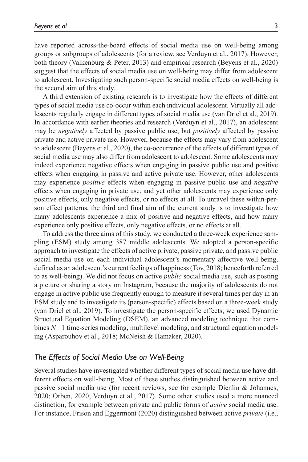have reported across-the-board effects of social media use on well-being among groups or subgroups of adolescents (for a review, see Verduyn et al., 2017). However, both theory (Valkenburg & Peter, 2013) and empirical research (Beyens et al., 2020) suggest that the effects of social media use on well-being may differ from adolescent to adolescent. Investigating such person-specific social media effects on well-being is the second aim of this study.

A third extension of existing research is to investigate how the effects of different types of social media use co-occur within each individual adolescent. Virtually all adolescents regularly engage in different types of social media use (van Driel et al., 2019). In accordance with earlier theories and research (Verduyn et al., 2017), an adolescent may be *negatively* affected by passive public use, but *positively* affected by passive private and active private use. However, because the effects may vary from adolescent to adolescent (Beyens et al., 2020), the co-occurrence of the effects of different types of social media use may also differ from adolescent to adolescent. Some adolescents may indeed experience negative effects when engaging in passive public use and positive effects when engaging in passive and active private use. However, other adolescents may experience *positive* effects when engaging in passive public use and *negative* effects when engaging in private use, and yet other adolescents may experience only positive effects, only negative effects, or no effects at all. To unravel these within-person effect patterns, the third and final aim of the current study is to investigate how many adolescents experience a mix of positive and negative effects, and how many experience only positive effects, only negative effects, or no effects at all.

To address the three aims of this study, we conducted a three-week experience sampling (ESM) study among 387 middle adolescents. We adopted a person-specific approach to investigate the effects of active private, passive private, and passive public social media use on each individual adolescent's momentary affective well-being, defined as an adolescent's current feelings of happiness (Tov, 2018; henceforth referred to as well-being). We did not focus on active *public* social media use, such as posting a picture or sharing a story on Instagram, because the majority of adolescents do not engage in active public use frequently enough to measure it several times per day in an ESM study and to investigate its (person-specific) effects based on a three-week study (van Driel et al., 2019). To investigate the person-specific effects, we used Dynamic Structural Equation Modeling (DSEM), an advanced modeling technique that combines *N*=1 time-series modeling, multilevel modeling, and structural equation modeling (Asparouhov et al., 2018; McNeish & Hamaker, 2020).

### *The Effects of Social Media Use on Well-Being*

Several studies have investigated whether different types of social media use have different effects on well-being. Most of these studies distinguished between active and passive social media use (for recent reviews, see for example Dienlin & Johannes, 2020; Orben, 2020; Verduyn et al., 2017). Some other studies used a more nuanced distinction, for example between private and public forms of *active* social media use. For instance, Frison and Eggermont (2020) distinguished between active *private* (i.e.,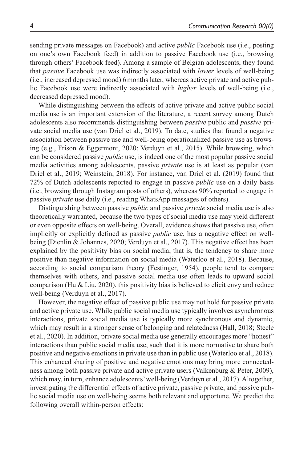sending private messages on Facebook) and active *public* Facebook use (i.e., posting on one's own Facebook feed) in addition to passive Facebook use (i.e., browsing through others' Facebook feed). Among a sample of Belgian adolescents, they found that *passive* Facebook use was indirectly associated with *lower* levels of well-being (i.e., increased depressed mood) 6months later, whereas active private and active public Facebook use were indirectly associated with *higher* levels of well-being (i.e., decreased depressed mood).

While distinguishing between the effects of active private and active public social media use is an important extension of the literature, a recent survey among Dutch adolescents also recommends distinguishing between *passive* public and *passive* private social media use (van Driel et al., 2019). To date, studies that found a negative association between passive use and well-being operationalized passive use as browsing (e.g., Frison & Eggermont, 2020; Verduyn et al., 2015). While browsing, which can be considered passive *public* use, is indeed one of the most popular passive social media activities among adolescents, passive *private* use is at least as popular (van Driel et al., 2019; Weinstein, 2018). For instance, van Driel et al. (2019) found that 72% of Dutch adolescents reported to engage in passive *public* use on a daily basis (i.e., browsing through Instagram posts of others), whereas 90% reported to engage in passive *private* use daily (i.e., reading WhatsApp messages of others).

Distinguishing between passive *public* and passive *private* social media use is also theoretically warranted, because the two types of social media use may yield different or even opposite effects on well-being. Overall, evidence shows that passive use, often implicitly or explicitly defined as passive *public* use, has a negative effect on wellbeing (Dienlin & Johannes, 2020; Verduyn et al., 2017). This negative effect has been explained by the positivity bias on social media, that is, the tendency to share more positive than negative information on social media (Waterloo et al., 2018). Because, according to social comparison theory (Festinger, 1954), people tend to compare themselves with others, and passive social media use often leads to upward social comparison (Hu & Liu, 2020), this positivity bias is believed to elicit envy and reduce well-being (Verduyn et al., 2017).

However, the negative effect of passive public use may not hold for passive private and active private use. While public social media use typically involves asynchronous interactions, private social media use is typically more synchronous and dynamic, which may result in a stronger sense of belonging and relatedness (Hall, 2018; Steele et al., 2020). In addition, private social media use generally encourages more "honest" interactions than public social media use, such that it is more normative to share both positive and negative emotions in private use than in public use (Waterloo et al., 2018). This enhanced sharing of positive and negative emotions may bring more connectedness among both passive private and active private users (Valkenburg & Peter, 2009), which may, in turn, enhance adolescents' well-being (Verduyn et al., 2017). Altogether, investigating the differential effects of active private, passive private, and passive public social media use on well-being seems both relevant and opportune. We predict the following overall within-person effects: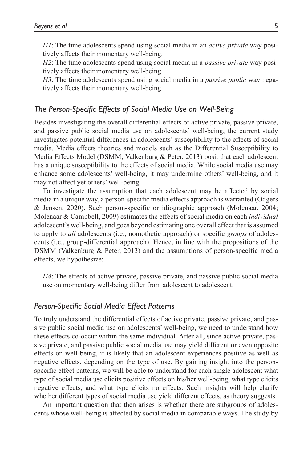*H1*: The time adolescents spend using social media in an *active private* way positively affects their momentary well-being.

*H2*: The time adolescents spend using social media in a *passive private* way positively affects their momentary well-being.

*H3*: The time adolescents spend using social media in a *passive public* way negatively affects their momentary well-being.

# *The Person-Specific Effects of Social Media Use on Well-Being*

Besides investigating the overall differential effects of active private, passive private, and passive public social media use on adolescents' well-being, the current study investigates potential differences in adolescents' susceptibility to the effects of social media. Media effects theories and models such as the Differential Susceptibility to Media Effects Model (DSMM; Valkenburg & Peter, 2013) posit that each adolescent has a unique susceptibility to the effects of social media. While social media use may enhance some adolescents' well-being, it may undermine others' well-being, and it may not affect yet others' well-being.

To investigate the assumption that each adolescent may be affected by social media in a unique way, a person-specific media effects approach is warranted (Odgers & Jensen, 2020). Such person-specific or idiographic approach (Molenaar, 2004; Molenaar & Campbell, 2009) estimates the effects of social media on each *individual* adolescent's well-being, and goes beyond estimating one overall effect that is assumed to apply to *all* adolescents (i.e., nomothetic approach) or specific *groups* of adolescents (i.e., group-differential approach). Hence, in line with the propositions of the DSMM (Valkenburg & Peter, 2013) and the assumptions of person-specific media effects, we hypothesize:

*H4*: The effects of active private, passive private, and passive public social media use on momentary well-being differ from adolescent to adolescent.

### *Person-Specific Social Media Effect Patterns*

To truly understand the differential effects of active private, passive private, and passive public social media use on adolescents' well-being, we need to understand how these effects co-occur within the same individual. After all, since active private, passive private, and passive public social media use may yield different or even opposite effects on well-being, it is likely that an adolescent experiences positive as well as negative effects, depending on the type of use. By gaining insight into the personspecific effect patterns, we will be able to understand for each single adolescent what type of social media use elicits positive effects on his/her well-being, what type elicits negative effects, and what type elicits no effects. Such insights will help clarify whether different types of social media use yield different effects, as theory suggests.

An important question that then arises is whether there are subgroups of adolescents whose well-being is affected by social media in comparable ways. The study by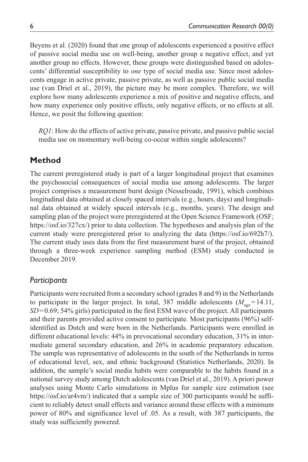Beyens et al. (2020) found that one group of adolescents experienced a positive effect of passive social media use on well-being, another group a negative effect, and yet another group no effects. However, these groups were distinguished based on adolescents' differential susceptibility to *one* type of social media use. Since most adolescents engage in active private, passive private, as well as passive public social media use (van Driel et al., 2019), the picture may be more complex. Therefore, we will explore how many adolescents experience a mix of positive and negative effects, and how many experience only positive effects, only negative effects, or no effects at all. Hence, we posit the following question:

*RQ1*: How do the effects of active private, passive private, and passive public social media use on momentary well-being co-occur within single adolescents?

# **Method**

The current preregistered study is part of a larger longitudinal project that examines the psychosocial consequences of social media use among adolescents. The larger project comprises a measurement burst design (Nesselroade, 1991), which combines longitudinal data obtained at closely spaced intervals (e.g., hours, days) and longitudinal data obtained at widely spaced intervals (e.g., months, years). The design and sampling plan of the project were preregistered at the Open Science Framework (OSF; <https://osf.io/327cx/>) prior to data collection. The hypotheses and analysis plan of the current study were preregistered prior to analyzing the data [\(https://osf.io/692h7/](https://osf.io/692h7/)). The current study uses data from the first measurement burst of the project, obtained through a three-week experience sampling method (ESM) study conducted in December 2019.

# *Participants*

Participants were recruited from a secondary school (grades 8 and 9) in the Netherlands to participate in the larger project. In total, 387 middle adolescents  $(M_{\text{age}}=14.11,$ *SD*=0.69; 54% girls) participated in the first ESM wave of the project. All participants and their parents provided active consent to participate. Most participants (96%) selfidentified as Dutch and were born in the Netherlands. Participants were enrolled in different educational levels: 44% in prevocational secondary education, 31% in intermediate general secondary education, and 26% in academic preparatory education. The sample was representative of adolescents in the south of the Netherlands in terms of educational level, sex, and ethnic background (Statistics Netherlands, 2020). In addition, the sample's social media habits were comparable to the habits found in a national survey study among Dutch adolescents (van Driel et al., 2019). A priori power analyses using Monte Carlo simulations in Mplus for sample size estimation (see <https://osf.io/ar4vm/>) indicated that a sample size of 300 participants would be sufficient to reliably detect small effects and variance around these effects with a minimum power of 80% and significance level of .05. As a result, with 387 participants, the study was sufficiently powered.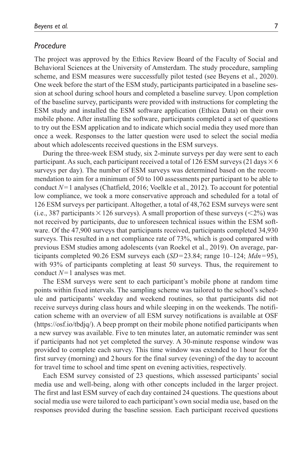# *Procedure*

The project was approved by the Ethics Review Board of the Faculty of Social and Behavioral Sciences at the University of Amsterdam. The study procedure, sampling scheme, and ESM measures were successfully pilot tested (see Beyens et al., 2020). One week before the start of the ESM study, participants participated in a baseline session at school during school hours and completed a baseline survey. Upon completion of the baseline survey, participants were provided with instructions for completing the ESM study and installed the ESM software application (Ethica Data) on their own mobile phone. After installing the software, participants completed a set of questions to try out the ESM application and to indicate which social media they used more than once a week. Responses to the latter question were used to select the social media about which adolescents received questions in the ESM surveys.

During the three-week ESM study, six 2-minute surveys per day were sent to each participant. As such, each participant received a total of 126 ESM surveys (21 days  $\times$  6 surveys per day). The number of ESM surveys was determined based on the recommendation to aim for a minimum of 50 to 100 assessments per participant to be able to conduct *N*=1 analyses (Chatfield, 2016; Voelkle et al., 2012). To account for potential low compliance, we took a more conservative approach and scheduled for a total of 126 ESM surveys per participant. Altogether, a total of 48,762 ESM surveys were sent (i.e., 387 participants  $\times$  126 surveys). A small proportion of these surveys ( $\leq$ 2%) was not received by participants, due to unforeseen technical issues within the ESM software. Of the 47,900 surveys that participants received, participants completed 34,930 surveys. This resulted in a net compliance rate of 73%, which is good compared with previous ESM studies among adolescents (van Roekel et al., 2019). On average, participants completed 90.26 ESM surveys each (*SD*=23.84; range 10–124; *Mdn*=95), with 93% of participants completing at least 50 surveys. Thus, the requirement to conduct *N*=1 analyses was met.

The ESM surveys were sent to each participant's mobile phone at random time points within fixed intervals. The sampling scheme was tailored to the school's schedule and participants' weekday and weekend routines, so that participants did not receive surveys during class hours and while sleeping in on the weekends. The notification scheme with an overview of all ESM survey notifications is available at OSF [\(https://osf.io/tbdjq/\)](https://osf.io/tbdjq/). A beep prompt on their mobile phone notified participants when a new survey was available. Five to ten minutes later, an automatic reminder was sent if participants had not yet completed the survey. A 30-minute response window was provided to complete each survey. This time window was extended to 1 hour for the first survey (morning) and 2hours for the final survey (evening) of the day to account for travel time to school and time spent on evening activities, respectively.

Each ESM survey consisted of 23 questions, which assessed participants' social media use and well-being, along with other concepts included in the larger project. The first and last ESM survey of each day contained 24 questions. The questions about social media use were tailored to each participant's own social media use, based on the responses provided during the baseline session. Each participant received questions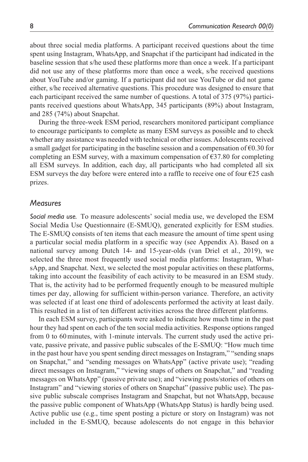about three social media platforms. A participant received questions about the time spent using Instagram, WhatsApp, and Snapchat if the participant had indicated in the baseline session that s/he used these platforms more than once a week. If a participant did not use any of these platforms more than once a week, s/he received questions about YouTube and/or gaming. If a participant did not use YouTube or did not game either, s/he received alternative questions. This procedure was designed to ensure that each participant received the same number of questions. A total of 375 (97%) participants received questions about WhatsApp, 345 participants (89%) about Instagram, and 285 (74%) about Snapchat.

During the three-week ESM period, researchers monitored participant compliance to encourage participants to complete as many ESM surveys as possible and to check whether any assistance was needed with technical or other issues. Adolescents received a small gadget for participating in the baseline session and a compensation of  $\epsilon$ 0.30 for completing an ESM survey, with a maximum compensation of  $\epsilon$ 37.80 for completing all ESM surveys. In addition, each day, all participants who had completed all six ESM surveys the day before were entered into a raffle to receive one of four  $E25$  cash prizes.

### *Measures*

*Social media use.* To measure adolescents' social media use, we developed the ESM Social Media Use Questionnaire (E-SMUQ), generated explicitly for ESM studies. The E-SMUQ consists of ten items that each measure the amount of time spent using a particular social media platform in a specific way (see Appendix A). Based on a national survey among Dutch 14- and 15-year-olds (van Driel et al., 2019), we selected the three most frequently used social media platforms: Instagram, WhatsApp, and Snapchat. Next, we selected the most popular activities on these platforms, taking into account the feasibility of each activity to be measured in an ESM study. That is, the activity had to be performed frequently enough to be measured multiple times per day, allowing for sufficient within-person variance. Therefore, an activity was selected if at least one third of adolescents performed the activity at least daily. This resulted in a list of ten different activities across the three different platforms.

In each ESM survey, participants were asked to indicate how much time in the past hour they had spent on each of the ten social media activities. Response options ranged from 0 to 60minutes, with 1-minute intervals. The current study used the active private, passive private, and passive public subscales of the E-SMUQ: "How much time in the past hour have you spent sending direct messages on Instagram," "sending snaps on Snapchat," and "sending messages on WhatsApp" (active private use); "reading direct messages on Instagram," "viewing snaps of others on Snapchat," and "reading messages on WhatsApp" (passive private use); and "viewing posts/stories of others on Instagram" and "viewing stories of others on Snapchat" (passive public use). The passive public subscale comprises Instagram and Snapchat, but not WhatsApp, because the passive public component of WhatsApp (WhatsApp Status) is hardly being used. Active public use (e.g., time spent posting a picture or story on Instagram) was not included in the E-SMUQ, because adolescents do not engage in this behavior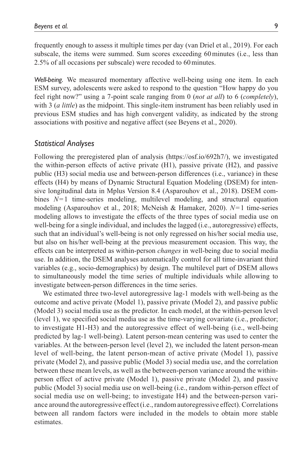frequently enough to assess it multiple times per day (van Driel et al., 2019). For each subscale, the items were summed. Sum scores exceeding 60minutes (i.e., less than 2.5% of all occasions per subscale) were recoded to 60minutes.

*Well-being.* We measured momentary affective well-being using one item. In each ESM survey, adolescents were asked to respond to the question "How happy do you feel right now?" using a 7-point scale ranging from 0 (*not at all*) to 6 (*completely*), with 3 (*a little*) as the midpoint. This single-item instrument has been reliably used in previous ESM studies and has high convergent validity, as indicated by the strong associations with positive and negative affect (see Beyens et al., 2020).

### *Statistical Analyses*

Following the preregistered plan of analysis (https://osf.io/692h7/), we investigated the within-person effects of active private (H1), passive private (H2), and passive public (H3) social media use and between-person differences (i.e., variance) in these effects (H4) by means of Dynamic Structural Equation Modeling (DSEM) for intensive longitudinal data in Mplus Version 8.4 (Asparouhov et al., 2018). DSEM combines *N*=1 time-series modeling, multilevel modeling, and structural equation modeling (Asparouhov et al., 2018; McNeish & Hamaker, 2020). *N*=1 time-series modeling allows to investigate the effects of the three types of social media use on well-being for a single individual, and includes the lagged (i.e., autoregressive) effects, such that an individual's well-being is not only regressed on his/her social media use, but also on his/her well-being at the previous measurement occasion. This way, the effects can be interpreted as within-person *changes* in well-being due to social media use. In addition, the DSEM analyses automatically control for all time-invariant third variables (e.g., socio-demographics) by design. The multilevel part of DSEM allows to simultaneously model the time series of multiple individuals while allowing to investigate between-person differences in the time series.

We estimated three two-level autoregressive lag-1 models with well-being as the outcome and active private (Model 1), passive private (Model 2), and passive public (Model 3) social media use as the predictor. In each model, at the within-person level (level 1), we specified social media use as the time-varying covariate (i.e., predictor; to investigate H1-H3) and the autoregressive effect of well-being (i.e., well-being predicted by lag-1 well-being). Latent person-mean centering was used to center the variables. At the between-person level (level 2), we included the latent person-mean level of well-being, the latent person-mean of active private (Model 1), passive private (Model 2), and passive public (Model 3) social media use, and the correlation between these mean levels, as well as the between-person variance around the withinperson effect of active private (Model 1), passive private (Model 2), and passive public (Model 3) social media use on well-being (i.e., random within-person effect of social media use on well-being; to investigate H4) and the between-person variance around the autoregressive effect (i.e., random autoregressive effect). Correlations between all random factors were included in the models to obtain more stable estimates.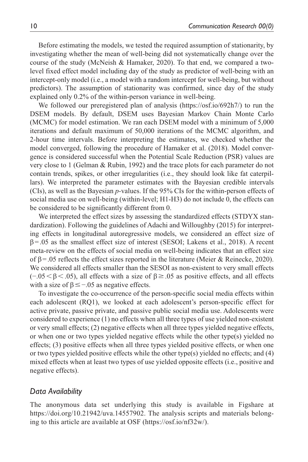Before estimating the models, we tested the required assumption of stationarity, by investigating whether the mean of well-being did not systematically change over the course of the study (McNeish & Hamaker, 2020). To that end, we compared a twolevel fixed effect model including day of the study as predictor of well-being with an intercept-only model (i.e., a model with a random intercept for well-being, but without predictors). The assumption of stationarity was confirmed, since day of the study explained only 0.2% of the within-person variance in well-being.

We followed our preregistered plan of analysis (https://osf.io/692h7/) to run the DSEM models. By default, DSEM uses Bayesian Markov Chain Monte Carlo (MCMC) for model estimation. We ran each DSEM model with a minimum of 5,000 iterations and default maximum of 50,000 iterations of the MCMC algorithm, and 2-hour time intervals. Before interpreting the estimates, we checked whether the model converged, following the procedure of Hamaker et al. (2018). Model convergence is considered successful when the Potential Scale Reduction (PSR) values are very close to 1 (Gelman & Rubin, 1992) and the trace plots for each parameter do not contain trends, spikes, or other irregularities (i.e., they should look like fat caterpillars). We interpreted the parameter estimates with the Bayesian credible intervals (CIs), as well as the Bayesian *p-*values. If the 95% CIs for the within-person effects of social media use on well-being (within-level; H1-H3) do not include 0, the effects can be considered to be significantly different from 0.

We interpreted the effect sizes by assessing the standardized effects (STDYX standardization). Following the guidelines of Adachi and Willoughby (2015) for interpreting effects in longitudinal autoregressive models, we considered an effect size of  $\beta$ =.05 as the smallest effect size of interest (SESOI; Lakens et al., 2018). A recent meta-review on the effects of social media on well-being indicates that an effect size of  $\beta$ =.05 reflects the effect sizes reported in the literature (Meier & Reinecke, 2020). We considered all effects smaller than the SESOI as non-existent to very small effects  $(-.05<\beta<.05)$ , all effects with a size of  $\beta \ge .05$  as positive effects, and all effects with a size of  $\beta \leq -.05$  as negative effects.

To investigate the co-occurrence of the person-specific social media effects within each adolescent (RQ1), we looked at each adolescent's person-specific effect for active private, passive private, and passive public social media use. Adolescents were considered to experience (1) no effects when all three types of use yielded non-existent or very small effects; (2) negative effects when all three types yielded negative effects, or when one or two types yielded negative effects while the other type(s) yielded no effects; (3) positive effects when all three types yielded positive effects, or when one or two types yielded positive effects while the other type(s) yielded no effects; and (4) mixed effects when at least two types of use yielded opposite effects (i.e., positive and negative effects).

### *Data Availability*

The anonymous data set underlying this study is available in Figshare at [https://doi.org/10.21942/uva.14557902.](https://doi.org/10.21942/uva.14557902) The analysis scripts and materials belonging to this article are available at OSF [\(https://osf.io/nf32w/\)](https://osf.io/nf32w/).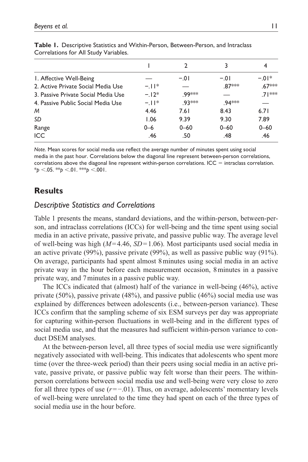|                                     |         | $\mathbf{c}$ |          |          |
|-------------------------------------|---------|--------------|----------|----------|
| 1. Affective Well-Being             |         | $-.01$       | $-.01$   | $-01*$   |
| 2. Active Private Social Media Use  | $-11*$  |              | $.87***$ | $.67***$ |
| 3. Passive Private Social Media Use | $-12*$  | 99***        |          | $71***$  |
| 4. Passive Public Social Media Use  | $-11*$  | 93***        | 94***    |          |
| M                                   | 4.46    | 7.61         | 8.43     | 6.71     |
| SD                                  | 1.06    | 9.39         | 9.30     | 7.89     |
| Range                               | $0 - 6$ | $0 - 60$     | $0 - 60$ | $0 - 60$ |
| <b>ICC</b>                          | .46     | .50          | .48      | .46      |
|                                     |         |              |          |          |

**Table 1.** Descriptive Statistics and Within-Person, Between-Person, and Intraclass Correlations for All Study Variables.

*Note*. Mean scores for social media use reflect the average number of minutes spent using social media in the past hour. Correlations below the diagonal line represent between-person correlations, correlations above the diagonal line represent within-person correlations. ICC  $=$  intraclass correlation. \**p* <.05. \*\**p* <.01. \*\*\**p* <.001.

# **Results**

# *Descriptive Statistics and Correlations*

Table 1 presents the means, standard deviations, and the within-person, between-person, and intraclass correlations (ICCs) for well-being and the time spent using social media in an active private, passive private, and passive public way. The average level of well-being was high (*M*=4.46, *SD*=1.06). Most participants used social media in an active private (99%), passive private (99%), as well as passive public way (91%). On average, participants had spent almost 8minutes using social media in an active private way in the hour before each measurement occasion, 8minutes in a passive private way, and 7minutes in a passive public way.

The ICCs indicated that (almost) half of the variance in well-being (46%), active private (50%), passive private (48%), and passive public (46%) social media use was explained by differences between adolescents (i.e., between-person variance). These ICCs confirm that the sampling scheme of six ESM surveys per day was appropriate for capturing within-person fluctuations in well-being and in the different types of social media use, and that the measures had sufficient within-person variance to conduct DSEM analyses.

At the between-person level, all three types of social media use were significantly negatively associated with well-being. This indicates that adolescents who spent more time (over the three-week period) than their peers using social media in an active private, passive private, or passive public way felt worse than their peers. The withinperson correlations between social media use and well-being were very close to zero for all three types of use (*r*=−.01). Thus, on average, adolescents' momentary levels of well-being were unrelated to the time they had spent on each of the three types of social media use in the hour before.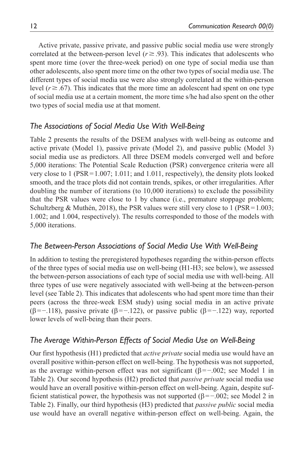Active private, passive private, and passive public social media use were strongly correlated at the between-person level ( $r \ge 0.93$ ). This indicates that adolescents who spent more time (over the three-week period) on one type of social media use than other adolescents, also spent more time on the other two types of social media use. The different types of social media use were also strongly correlated at the within-person level ( $r \ge 67$ ). This indicates that the more time an adolescent had spent on one type of social media use at a certain moment, the more time s/he had also spent on the other two types of social media use at that moment.

# *The Associations of Social Media Use With Well-Being*

Table 2 presents the results of the DSEM analyses with well-being as outcome and active private (Model 1), passive private (Model 2), and passive public (Model 3) social media use as predictors. All three DSEM models converged well and before 5,000 iterations: The Potential Scale Reduction (PSR) convergence criteria were all very close to 1 (PSR=1.007; 1.011; and 1.011, respectively), the density plots looked smooth, and the trace plots did not contain trends, spikes, or other irregularities. After doubling the number of iterations (to 10,000 iterations) to exclude the possibility that the PSR values were close to 1 by chance (i.e., premature stoppage problem; Schultzberg & Muthén, 2018), the PSR values were still very close to 1 (PSR=1.003; 1.002; and 1.004, respectively). The results corresponded to those of the models with 5,000 iterations.

# *The Between-Person Associations of Social Media Use With Well-Being*

In addition to testing the preregistered hypotheses regarding the within-person effects of the three types of social media use on well-being (H1-H3; see below), we assessed the between-person associations of each type of social media use with well-being. All three types of use were negatively associated with well-being at the between-person level (see Table 2). This indicates that adolescents who had spent more time than their peers (across the three-week ESM study) using social media in an active private (β=−.118), passive private (β=−.122), or passive public (β=−.122) way, reported lower levels of well-being than their peers.

# *The Average Within-Person Effects of Social Media Use on Well-Being*

Our first hypothesis (H1) predicted that *active private* social media use would have an overall positive within-person effect on well-being. The hypothesis was not supported, as the average within-person effect was not significant ( $\beta = -0.002$ ; see Model 1 in Table 2). Our second hypothesis (H2) predicted that *passive private* social media use would have an overall positive within-person effect on well-being. Again, despite sufficient statistical power, the hypothesis was not supported ( $\beta$ =−.002; see Model 2 in Table 2). Finally, our third hypothesis (H3) predicted that *passive public* social media use would have an overall negative within-person effect on well-being. Again, the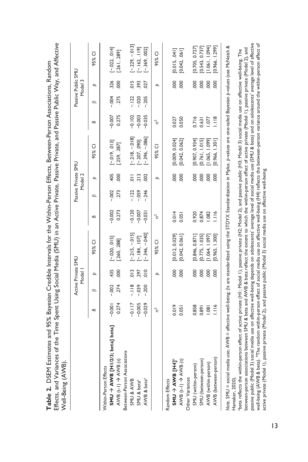|                                                                                                                                                                                                                                                                                                                                                                           |                                  |                             | Active Private SMU<br>Model <sup> </sup> |                                                  |                                  | Passive Private SMU         | Model 2                     |                                                       |                                  |                              | Passive Public SMU<br>Model 3 |                                                  |
|---------------------------------------------------------------------------------------------------------------------------------------------------------------------------------------------------------------------------------------------------------------------------------------------------------------------------------------------------------------------------|----------------------------------|-----------------------------|------------------------------------------|--------------------------------------------------|----------------------------------|-----------------------------|-----------------------------|-------------------------------------------------------|----------------------------------|------------------------------|-------------------------------|--------------------------------------------------|
|                                                                                                                                                                                                                                                                                                                                                                           | ≏                                | $\approx$                   | р                                        | 95% CI                                           | Β                                | $\circ$                     | Þ                           | 95% CI                                                | B                                | $\omega$                     | Þ                             | Ū<br>95%                                         |
| $SMU \rightarrow AWB$ [H1/2/3; beta] beta]<br>AVB (t-1) AVB (t)<br>Within-Person Effects                                                                                                                                                                                                                                                                                  | 0.274<br>$-0.001$                | $-0.002$<br>.274            | 435<br>000                               | $[-0.020, 0.015]$<br>[.260, .288]                | $-0.002$<br>0.273                | $-0.002$<br>273             | 405<br>000                  | $[-019, 013]$<br>[.259, .287]                         | $-0.007$<br>0.275                | $-004$<br>.275               | 326<br>8                      | $[-0.22, 0.014]$<br>[.261, .289]                 |
| Between-Person Associations<br>SMU & AWB<br>AWB & beta <sup>a</sup><br>SMU & beta <sup>a</sup>                                                                                                                                                                                                                                                                            | $-0.117$<br>$-0.005$<br>$-0.029$ | $-118$<br>$-0.39$<br>$-200$ | $\frac{1}{2}$<br>$\frac{0}{2}$<br>297    | $[-215, -015]$<br>$-346, -040$ ]<br>$-184.107$ ] | $-0.120$<br>$-0.007$<br>$-0.031$ | $-0.59$<br>$-122$<br>$-246$ | $\frac{1}{2}$<br>213<br>002 | $[-218, -018]$<br>$[-.396, -.086]$<br>$[-.207, .090]$ | $-0.102$<br>$-0.035$<br>$-0.003$ | $-122$<br>$-0.020$<br>$-205$ | $\frac{5}{10}$<br>393<br>027  | $[-.229, -013]$<br>$[-369, 002]$<br>$-162.119$ ] |
|                                                                                                                                                                                                                                                                                                                                                                           | ิง                               |                             | Þ                                        | ū<br>95%                                         | ზ                                |                             | Þ                           | 95% CI                                                | $\epsilon$ <sup>2</sup>          |                              | $\Delta$                      | ō<br>95%                                         |
| <b>PHI BWA ← DNS</b><br>Random Effects                                                                                                                                                                                                                                                                                                                                    | 0.019                            |                             | 800                                      | [0.012, 0.029]                                   | 0.014                            |                             | $\frac{8}{2}$               | [0.009, 0.024]                                        | 0.027                            |                              | 80                            | [0.015, 041]                                     |
| AVVB $(t-1) \Rightarrow$ AVVB $(t)$<br>Other Variances                                                                                                                                                                                                                                                                                                                    | 0.051                            |                             | 8                                        | [0.042, 0.06]                                    | 0.051                            |                             | 000                         | [0.042, 0.062]                                        | 0.050                            |                              | 8                             | [0.042, 061]                                     |
| SMU (within-person)                                                                                                                                                                                                                                                                                                                                                       | 0.858                            |                             | 800                                      | [0.846, 0.871]                                   | 0.920                            |                             | $\frac{8}{2}$               | [0.907, 0.934]                                        | 0.716                            |                              | $\frac{8}{2}$                 | [0.705, 0.727]                                   |
| SMU (between-person)                                                                                                                                                                                                                                                                                                                                                      | 0.891                            |                             | 8                                        | 0.775, 1.035                                     | 0.874                            |                             | 000                         | [0.761, 1.015]                                        | 0.631                            |                              | 8                             | [0.543, 0.737]                                   |
| AVVB (within-person)                                                                                                                                                                                                                                                                                                                                                      | $\overline{80}$                  |                             | 000                                      | 1.064, 1.097                                     | 1.082                            |                             | 000                         | 1.065, 1.099]                                         | $-0.77$                          |                              | 000                           | 1.061, 1.094                                     |
| AWB (between-person)                                                                                                                                                                                                                                                                                                                                                      | $\frac{1}{2}$                    |                             | 8                                        | 0.965, 1.300                                     | 1.116                            |                             | 000                         | [0.966, 1.301]                                        | $\frac{1}{2}$                    |                              | 8                             | [0.966, 1.299]                                   |
| Note. SMU = social media use; AWB = affective well-being; ßs are standardized using the STDYX Standardization in Mplus. p-values are one-tailed Bayesian p-values (see McNeish &<br>Hamaker, 2020)                                                                                                                                                                        |                                  |                             |                                          |                                                  |                                  |                             |                             |                                                       |                                  |                              |                               |                                                  |
| beta reflects the within-person effect of active private (H1; Model 1), passive private (H2; Model 2), and passive public (H3; Model 3) social media use on affective well-being. The                                                                                                                                                                                     |                                  |                             |                                          |                                                  |                                  |                             |                             |                                                       |                                  |                              |                               |                                                  |
| passive public (Model 3) social media use on affective well-being depends on adolescents' average level of social media use (SMU & beta) and on adolescents' average level of affective<br>between-person associations between SMU & beta and AWB & beta reflect the extent to which the within-person effect of active private (Model 1), passive private (Model 2), and |                                  |                             |                                          |                                                  |                                  |                             |                             |                                                       |                                  |                              |                               |                                                  |
| well-being (AVVB & beta). <sup>b</sup> The random within-person effect of social media use on affective well-being (H4) reflects the between-person variance around the within-person effect of                                                                                                                                                                           |                                  |                             |                                          |                                                  |                                  |                             |                             |                                                       |                                  |                              |                               |                                                  |
| active private (Model 1), passive private (Model 2), and passive public (Model 3) social media use on affective well-being.                                                                                                                                                                                                                                               |                                  |                             |                                          |                                                  |                                  |                             |                             |                                                       |                                  |                              |                               |                                                  |

Table 2. DSEM Estimates and 95% Bayesian Credible Intervals for the Within-Person Effects, Between-Person Associations, Random **Table 2.** DSEM Estimates and 95% Bayesian Credible Intervals for the Within-Person Effects, Between-Person Associations, Random

13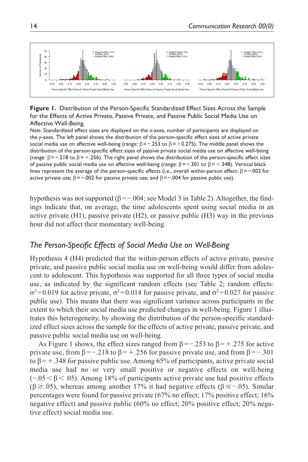

**Figure 1.** Distribution of the Person-Specific Standardized Effect Sizes Across the Sample for the Effects of Active Private, Passive Private, and Passive Public Social Media Use on Affective Well-Being.

*Note.* Standardized effect sizes are displayed on the *x*-axes, number of participants are displayed on the *y*-axes. The left panel shows the distribution of the person-specific effect sizes of active private social media use on affective well-being (range:  $\beta$ =−.253 to  $\beta$ =+0.275). The middle panel shows the distribution of the person-specific effect sizes of passive private social media use on affective well-being (range:  $\beta$ =−.218 to  $\beta$ =+.256). The right panel shows the distribution of the person-specific effect sizes of passive public social media use on affective well-being (range:  $\beta = -.301$  to  $\beta = +.348$ ). Vertical black lines represent the average of the person-specific effects (i.e., overall within-person effect:  $\beta = -0.002$  for active private use;  $\beta = -.002$  for passive private use; and  $\beta = -.004$  for passive public use).

hypothesis was not supported  $(\beta = 0.004$ ; see Model 3 in Table 2). Altogether, the findings indicate that, on average, the time adolescents spent using social media in an active private (H1), passive private (H2), or passive public (H3) way in the previous hour did not affect their momentary well-being.

# *The Person-Specific Effects of Social Media Use on Well-Being*

Hypothesis 4 (H4) predicted that the within-person effects of active private, passive private, and passive public social media use on well-being would differ from adolescent to adolescent. This hypothesis was supported for all three types of social media use, as indicated by the significant random effects (see Table 2; random effects:  $\sigma^2$ =0.019 for active private,  $\sigma^2$ =0.014 for passive private, and  $\sigma^2$ =0.027 for passive public use). This means that there was significant variance across participants in the extent to which their social media use predicted changes in well-being. Figure 1 illustrates this heterogeneity, by showing the distribution of the person-specific standardized effect sizes across the sample for the effects of active private, passive private, and passive public social media use on well-being.

As Figure 1 shows, the effect sizes ranged from  $\beta = -0.253$  to  $\beta = +0.275$  for active private use, from  $\beta = -0.218$  to  $\beta = +0.256$  for passive private use, and from  $\beta = -0.301$ to  $\beta$  = +.348 for passive public use. Among 65% of participants, active private social media use had no or very small positive or negative effects on well-being  $(-.05 \leq \beta \leq .05)$ . Among 18% of participants active private use had positive effects  $(β \ge 0.05)$ , whereas among another 17% it had negative effects  $(β \le -0.05)$ . Similar percentages were found for passive private (67% no effect; 17% positive effect; 16% negative effect) and passive public (60% no effect; 20% positive effect; 20% negative effect) social media use.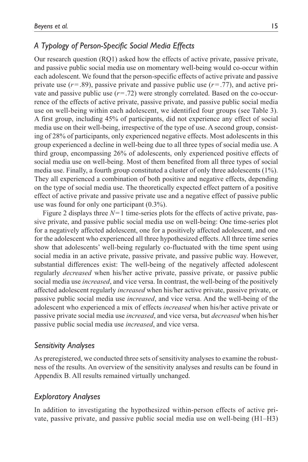# *A Typology of Person-Specific Social Media Effects*

Our research question (RQ1) asked how the effects of active private, passive private, and passive public social media use on momentary well-being would co-occur within each adolescent. We found that the person-specific effects of active private and passive private use  $(r=.89)$ , passive private and passive public use  $(r=.77)$ , and active private and passive public use  $(r=.72)$  were strongly correlated. Based on the co-occurrence of the effects of active private, passive private, and passive public social media use on well-being within each adolescent, we identified four groups (see Table 3). A first group, including 45% of participants, did not experience any effect of social media use on their well-being, irrespective of the type of use. A second group, consisting of 28% of participants, only experienced negative effects. Most adolescents in this group experienced a decline in well-being due to all three types of social media use. A third group, encompassing 26% of adolescents, only experienced positive effects of social media use on well-being. Most of them benefited from all three types of social media use. Finally, a fourth group constituted a cluster of only three adolescents (1%). They all experienced a combination of both positive and negative effects, depending on the type of social media use. The theoretically expected effect pattern of a positive effect of active private and passive private use and a negative effect of passive public use was found for only one participant (0.3%).

Figure 2 displays three  $N=1$  time-series plots for the effects of active private, passive private, and passive public social media use on well-being: One time-series plot for a negatively affected adolescent, one for a positively affected adolescent, and one for the adolescent who experienced all three hypothesized effects. All three time series show that adolescents' well-being regularly co-fluctuated with the time spent using social media in an active private, passive private, and passive public way. However, substantial differences exist: The well-being of the negatively affected adolescent regularly *decreased* when his/her active private, passive private, or passive public social media use *increased*, and vice versa. In contrast, the well-being of the positively affected adolescent regularly *increased* when his/her active private, passive private, or passive public social media use *increased*, and vice versa. And the well-being of the adolescent who experienced a mix of effects *increased* when his/her active private or passive private social media use *increased*, and vice versa, but *decreased* when his/her passive public social media use *increased*, and vice versa.

### *Sensitivity Analyses*

As preregistered, we conducted three sets of sensitivity analyses to examine the robustness of the results. An overview of the sensitivity analyses and results can be found in Appendix B. All results remained virtually unchanged.

### *Exploratory Analyses*

In addition to investigating the hypothesized within-person effects of active private, passive private, and passive public social media use on well-being (H1–H3)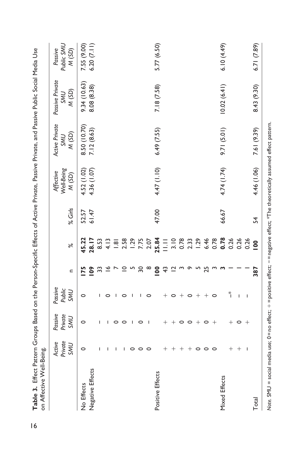| on Affective Well-Being.                                                                                                          |                                 |                                  |                                 |                |                                                 |           |                                 |                                       |                                        |                                  |
|-----------------------------------------------------------------------------------------------------------------------------------|---------------------------------|----------------------------------|---------------------------------|----------------|-------------------------------------------------|-----------|---------------------------------|---------------------------------------|----------------------------------------|----------------------------------|
|                                                                                                                                   | Private<br>Active<br><b>UWS</b> | Passive<br>Private<br><b>UWS</b> | Passive<br>Public<br><b>UWS</b> | $\mathbf{r}$   | $\aleph$                                        | $%$ Girls | Well-Being<br>Affective<br>(SD) | Active Private<br>M(SD)<br><b>NNS</b> | Passive Private<br>M(SD)<br><b>NNS</b> | Public SML<br>Passive<br>(M(SD)) |
| No Effects                                                                                                                        | $\circ$                         | 0                                | 0                               | 75             | 45.22                                           | 52.57     | 4.52(1.02)                      | 8.50 (10.70)                          | 9.34 (10.63)                           | 7.55 (9.00)                      |
| Negative Effects                                                                                                                  |                                 |                                  |                                 | $\frac{80}{2}$ | 28.17                                           | 61.47     | 4.36 (1.07)                     | 7.12 (8.63)                           | 8.08 (8.38)                            | 6.20(7.11)                       |
|                                                                                                                                   | I                               | ı                                | ı                               |                | 8.53                                            |           |                                 |                                       |                                        |                                  |
|                                                                                                                                   |                                 | ı                                | 0                               |                | 4.13                                            |           |                                 |                                       |                                        |                                  |
|                                                                                                                                   | ı                               | 0                                |                                 |                | $\frac{1}{2}$                                   |           |                                 |                                       |                                        |                                  |
|                                                                                                                                   | ı                               | 0                                | 0                               |                | 2.58<br>1.29<br>7.75<br>2.07                    |           |                                 |                                       |                                        |                                  |
|                                                                                                                                   | 0                               | I                                |                                 |                |                                                 |           |                                 |                                       |                                        |                                  |
|                                                                                                                                   | $\circ$                         | 0                                | ı                               | ္က             |                                                 |           |                                 |                                       |                                        |                                  |
|                                                                                                                                   | $\circ$                         | $\overline{\phantom{a}}$         | 0                               |                |                                                 |           |                                 |                                       |                                        |                                  |
| Positive Effects                                                                                                                  |                                 |                                  |                                 | $\overline{0}$ | 25.84                                           | 47.00     | 4.47 (1.10)                     | 6.49 (7.55)                           | 7.18 (7.58)                            | 5.77 (6.50)                      |
|                                                                                                                                   | $^+$                            |                                  | $^+$                            | ᡩ              | E                                               |           |                                 |                                       |                                        |                                  |
|                                                                                                                                   | $^+$                            | $\hspace{0.1mm} +$               | 0                               |                | 3.10                                            |           |                                 |                                       |                                        |                                  |
|                                                                                                                                   | $^{+}$                          | $\circ$                          |                                 |                |                                                 |           |                                 |                                       |                                        |                                  |
|                                                                                                                                   | $^{+}$                          | $\circ$                          | $\circ$                         |                |                                                 |           |                                 |                                       |                                        |                                  |
|                                                                                                                                   | $\circ$                         | $^+$                             | $^+$                            |                | $78$<br>$2.33$<br>$-6.46$<br>$-6.78$<br>$-6.78$ |           |                                 |                                       |                                        |                                  |
|                                                                                                                                   | $\circ$                         | $\circ$                          | $^+$                            | 25             |                                                 |           |                                 |                                       |                                        |                                  |
|                                                                                                                                   | $\circ$                         | $^{+}$                           | $\circ$                         |                |                                                 |           |                                 |                                       |                                        |                                  |
| Mixed Effects                                                                                                                     |                                 |                                  |                                 |                |                                                 | 66.67     | 4.74 (1.74)                     | 9.71 (5.01)                           | 10.02(6.41)                            | 6.10(4.49)                       |
|                                                                                                                                   | $^{+}$                          | $^+$                             | $\ddot{\tilde{}}$               |                | 0.26                                            |           |                                 |                                       |                                        |                                  |
|                                                                                                                                   | $^{+}$                          | 0                                | I                               |                | 0.26                                            |           |                                 |                                       |                                        |                                  |
|                                                                                                                                   | $\overline{\phantom{a}}$        | $^+$                             | $\overline{\phantom{a}}$        |                | 0.26                                            |           |                                 |                                       |                                        |                                  |
| Total                                                                                                                             |                                 |                                  |                                 | 387            | $\overline{0}$                                  | 54        | 4.46 (1.06)                     | 7.61 (9.39)                           | 8.43 (9.30)                            | 6.71 (7.89)                      |
| Note. SMU = social media use; 0 = no effect; + = positive effect; − = negative effect; *The theoretically assumed effect pattern. |                                 |                                  |                                 |                |                                                 |           |                                 |                                       |                                        |                                  |

16**Table 3.** Effect Pattern Groups Based on the Person-Specific Effects of Active Private, Passive Private, and Passive Public Social Media Use Table 3. Effect Pattern Groups Based on the Person-Specific Effects of Active Private, Passive Private, and Passive Public Social Media Use

 $\overline{16}$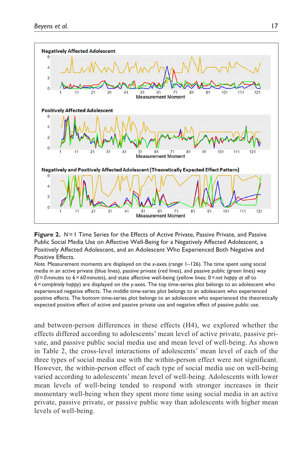

**Figure 2.** *N*=1 Time Series for the Effects of Active Private, Passive Private, and Passive Public Social Media Use on Affective Well-Being for a Negatively Affected Adolescent, a Positively Affected Adolescent, and an Adolescent Who Experienced Both Negative and Positive Effects.

*Note.* Measurement moments are displayed on the *x*-axes (range 1–126). The time spent using social media in an active private (blue lines), passive private (red lines), and passive public (green lines) way (0=*0minutes* to 6=*60minutes*), and state affective well-being (yellow lines; 0=*not happy at all* to 6=*completely happy*) are displayed on the *y*-axes. The top time-series plot belongs to an adolescent who experienced negative effects. The middle time-series plot belongs to an adolescent who experienced positive effects. The bottom time-series plot belongs to an adolescent who experienced the theoretically expected positive effect of active and passive private use and negative effect of passive public use.

and between-person differences in these effects (H4), we explored whether the effects differed according to adolescents' mean level of active private, passive private, and passive public social media use and mean level of well-being. As shown in Table 2, the cross-level interactions of adolescents' mean level of each of the three types of social media use with the within-person effect were not significant. However, the within-person effect of each type of social media use on well-being varied according to adolescents' mean level of well-being. Adolescents with lower mean levels of well-being tended to respond with stronger increases in their momentary well-being when they spent more time using social media in an active private, passive private, or passive public way than adolescents with higher mean levels of well-being.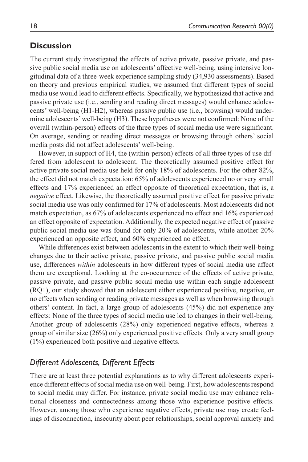# **Discussion**

The current study investigated the effects of active private, passive private, and passive public social media use on adolescents' affective well-being, using intensive longitudinal data of a three-week experience sampling study (34,930 assessments). Based on theory and previous empirical studies, we assumed that different types of social media use would lead to different effects. Specifically, we hypothesized that active and passive private use (i.e., sending and reading direct messages) would enhance adolescents' well-being (H1-H2), whereas passive public use (i.e., browsing) would undermine adolescents' well-being (H3). These hypotheses were not confirmed: None of the overall (within-person) effects of the three types of social media use were significant. On average, sending or reading direct messages or browsing through others' social media posts did not affect adolescents' well-being.

However, in support of H4, the (within-person) effects of all three types of use differed from adolescent to adolescent. The theoretically assumed positive effect for active private social media use held for only 18% of adolescents. For the other 82%, the effect did not match expectation: 65% of adolescents experienced no or very small effects and 17% experienced an effect opposite of theoretical expectation, that is, a *negative* effect. Likewise, the theoretically assumed positive effect for passive private social media use was only confirmed for 17% of adolescents. Most adolescents did not match expectation, as 67% of adolescents experienced no effect and 16% experienced an effect opposite of expectation. Additionally, the expected negative effect of passive public social media use was found for only 20% of adolescents, while another 20% experienced an opposite effect, and 60% experienced no effect.

While differences exist between adolescents in the extent to which their well-being changes due to their active private, passive private, and passive public social media use, differences *within* adolescents in how different types of social media use affect them are exceptional. Looking at the co-occurrence of the effects of active private, passive private, and passive public social media use within each single adolescent (RQ1), our study showed that an adolescent either experienced positive, negative, or no effects when sending or reading private messages as well as when browsing through others' content. In fact, a large group of adolescents (45%) did not experience any effects: None of the three types of social media use led to changes in their well-being. Another group of adolescents (28%) only experienced negative effects, whereas a group of similar size (26%) only experienced positive effects. Only a very small group (1%) experienced both positive and negative effects.

# *Different Adolescents, Different Effects*

There are at least three potential explanations as to why different adolescents experience different effects of social media use on well-being. First, how adolescents respond to social media may differ. For instance, private social media use may enhance relational closeness and connectedness among those who experience positive effects. However, among those who experience negative effects, private use may create feelings of disconnection, insecurity about peer relationships, social approval anxiety and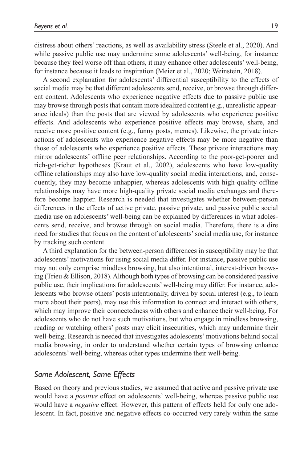distress about others' reactions, as well as availability stress (Steele et al., 2020). And while passive public use may undermine some adolescents' well-being, for instance because they feel worse off than others, it may enhance other adolescents' well-being, for instance because it leads to inspiration (Meier et al., 2020; Weinstein, 2018).

A second explanation for adolescents' differential susceptibility to the effects of social media may be that different adolescents send, receive, or browse through different content. Adolescents who experience negative effects due to passive public use may browse through posts that contain more idealized content (e.g., unrealistic appearance ideals) than the posts that are viewed by adolescents who experience positive effects. And adolescents who experience positive effects may browse, share, and receive more positive content (e.g., funny posts, memes). Likewise, the private interactions of adolescents who experience negative effects may be more negative than those of adolescents who experience positive effects. These private interactions may mirror adolescents' offline peer relationships. According to the poor-get-poorer and rich-get-richer hypotheses (Kraut et al., 2002), adolescents who have low-quality offline relationships may also have low-quality social media interactions, and, consequently, they may become unhappier, whereas adolescents with high-quality offline relationships may have more high-quality private social media exchanges and therefore become happier. Research is needed that investigates whether between-person differences in the effects of active private, passive private, and passive public social media use on adolescents' well-being can be explained by differences in what adolescents send, receive, and browse through on social media. Therefore, there is a dire need for studies that focus on the content of adolescents' social media use, for instance by tracking such content.

A third explanation for the between-person differences in susceptibility may be that adolescents' motivations for using social media differ. For instance, passive public use may not only comprise mindless browsing, but also intentional, interest-driven browsing (Trieu & Ellison, 2018). Although both types of browsing can be considered passive public use, their implications for adolescents' well-being may differ. For instance, adolescents who browse others' posts intentionally, driven by social interest (e.g., to learn more about their peers), may use this information to connect and interact with others, which may improve their connectedness with others and enhance their well-being. For adolescents who do not have such motivations, but who engage in mindless browsing, reading or watching others' posts may elicit insecurities, which may undermine their well-being. Research is needed that investigates adolescents' motivations behind social media browsing, in order to understand whether certain types of browsing enhance adolescents' well-being, whereas other types undermine their well-being.

# *Same Adolescent, Same Effects*

Based on theory and previous studies, we assumed that active and passive private use would have a *positive* effect on adolescents' well-being, whereas passive public use would have a *negative* effect. However, this pattern of effects held for only one adolescent. In fact, positive and negative effects co-occurred very rarely within the same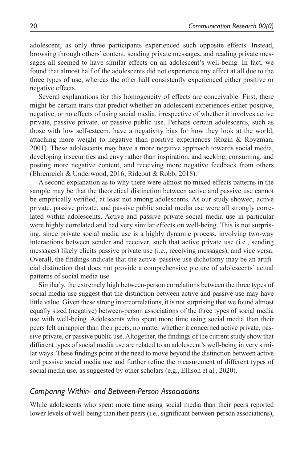adolescent, as only three participants experienced such opposite effects. Instead, browsing through others' content, sending private messages, and reading private messages all seemed to have similar effects on an adolescent's well-being. In fact, we found that almost half of the adolescents did not experience any effect at all due to the three types of use, whereas the other half consistently experienced either positive or negative effects.

Several explanations for this homogeneity of effects are conceivable. First, there might be certain traits that predict whether an adolescent experiences either positive, negative, or no effects of using social media, irrespective of whether it involves active private, passive private, or passive public use. Perhaps certain adolescents, such as those with low self-esteem, have a negativity bias for how they look at the world, attaching more weight to negative than positive experiences (Rozin & Royzman, 2001). These adolescents may have a more negative approach towards social media, developing insecurities and envy rather than inspiration, and seeking, consuming, and posting more negative content, and receiving more negative feedback from others (Ehrenreich & Underwood, 2016; Rideout & Robb, 2018).

A second explanation as to why there were almost no mixed effects patterns in the sample may be that the theoretical distinction between active and passive use cannot be empirically verified, at least not among adolescents. As our study showed, active private, passive private, and passive public social media use were all strongly correlated within adolescents. Active and passive private social media use in particular were highly correlated and had very similar effects on well-being. This is not surprising, since private social media use is a highly dynamic process, involving two-way interactions between sender and receiver, such that active private use (i.e., sending messages) likely elicits passive private use (i.e., receiving messages), and vice versa. Overall, the findings indicate that the active–passive use dichotomy may be an artificial distinction that does not provide a comprehensive picture of adolescents' actual patterns of social media use.

Similarly, the extremely high between-person correlations between the three types of social media use suggest that the distinction between active and passive use may have little value. Given these strong intercorrelations, it is not surprising that we found almost equally sized (negative) between-person associations of the three types of social media use with well-being. Adolescents who spent more time using social media than their peers felt unhappier than their peers, no matter whether it concerned active private, passive private, or passive public use. Altogether, the findings of the current study show that different types of social media use are related to an adolescent's well-being in very similar ways. These findings point at the need to move beyond the distinction between active and passive social media use and further refine the measurement of different types of social media use, as suggested by other scholars (e.g., Ellison et al., 2020).

#### *Comparing Within- and Between-Person Associations*

While adolescents who spent more time using social media than their peers reported lower levels of well-being than their peers (i.e., significant between-person associations),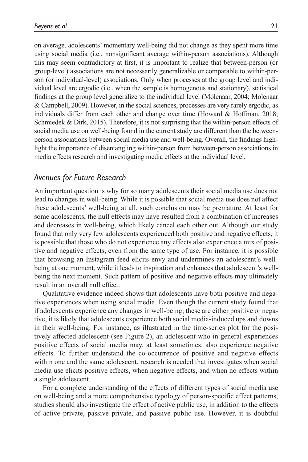on average, adolescents' momentary well-being did not change as they spent more time using social media (i.e., nonsignificant average within-person associations). Although this may seem contradictory at first, it is important to realize that between-person (or group-level) associations are not necessarily generalizable or comparable to within-person (or individual-level) associations. Only when processes at the group level and individual level are ergodic (i.e., when the sample is homogenous and stationary), statistical findings at the group level generalize to the individual level (Molenaar, 2004; Molenaar & Campbell, 2009). However, in the social sciences, processes are very rarely ergodic, as individuals differ from each other and change over time (Howard & Hoffman, 2018; Schmiedek & Dirk, 2015). Therefore, it is not surprising that the within-person effects of social media use on well-being found in the current study are different than the betweenperson associations between social media use and well-being. Overall, the findings highlight the importance of disentangling within-person from between-person associations in media effects research and investigating media effects at the individual level.

# *Avenues for Future Research*

An important question is why for so many adolescents their social media use does not lead to changes in well-being. While it is possible that social media use does not affect these adolescents' well-being at all, such conclusion may be premature. At least for some adolescents, the null effects may have resulted from a combination of increases and decreases in well-being, which likely cancel each other out. Although our study found that only very few adolescents experienced both positive and negative effects, it is possible that those who do not experience any effects also experience a mix of positive and negative effects, even from the same type of use. For instance, it is possible that browsing an Instagram feed elicits envy and undermines an adolescent's wellbeing at one moment, while it leads to inspiration and enhances that adolescent's wellbeing the next moment. Such pattern of positive and negative effects may ultimately result in an overall null effect.

Qualitative evidence indeed shows that adolescents have both positive and negative experiences when using social media. Even though the current study found that if adolescents experience any changes in well-being, these are either positive or negative, it is likely that adolescents experience both social media-induced ups and downs in their well-being. For instance, as illustrated in the time-series plot for the positively affected adolescent (see Figure 2), an adolescent who in general experiences positive effects of social media may, at least sometimes, also experience negative effects. To further understand the co-occurrence of positive and negative effects within one and the same adolescent, research is needed that investigates when social media use elicits positive effects, when negative effects, and when no effects within a single adolescent.

For a complete understanding of the effects of different types of social media use on well-being and a more comprehensive typology of person-specific effect patterns, studies should also investigate the effect of active public use, in addition to the effects of active private, passive private, and passive public use. However, it is doubtful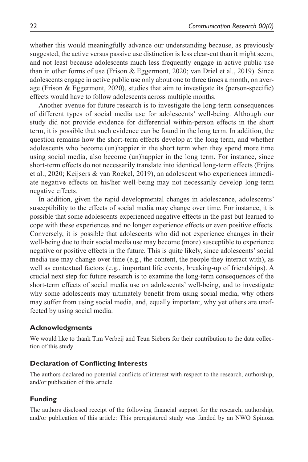whether this would meaningfully advance our understanding because, as previously suggested, the active versus passive use distinction is less clear-cut than it might seem, and not least because adolescents much less frequently engage in active public use than in other forms of use (Frison & Eggermont, 2020; van Driel et al., 2019). Since adolescents engage in active public use only about one to three times a month, on average (Frison & Eggermont, 2020), studies that aim to investigate its (person-specific) effects would have to follow adolescents across multiple months.

Another avenue for future research is to investigate the long-term consequences of different types of social media use for adolescents' well-being. Although our study did not provide evidence for differential within-person effects in the short term, it is possible that such evidence can be found in the long term. In addition, the question remains how the short-term effects develop at the long term, and whether adolescents who become (un)happier in the short term when they spend more time using social media, also become (un)happier in the long term. For instance, since short-term effects do not necessarily translate into identical long-term effects (Frijns et al., 2020; Keijsers & van Roekel, 2019), an adolescent who experiences immediate negative effects on his/her well-being may not necessarily develop long-term negative effects.

In addition, given the rapid developmental changes in adolescence, adolescents' susceptibility to the effects of social media may change over time. For instance, it is possible that some adolescents experienced negative effects in the past but learned to cope with these experiences and no longer experience effects or even positive effects. Conversely, it is possible that adolescents who did not experience changes in their well-being due to their social media use may become (more) susceptible to experience negative or positive effects in the future. This is quite likely, since adolescents' social media use may change over time (e.g., the content, the people they interact with), as well as contextual factors (e.g., important life events, breaking-up of friendships). A crucial next step for future research is to examine the long-term consequences of the short-term effects of social media use on adolescents' well-being, and to investigate why some adolescents may ultimately benefit from using social media, why others may suffer from using social media, and, equally important, why yet others are unaffected by using social media.

#### **Acknowledgments**

We would like to thank Tim Verbeij and Teun Siebers for their contribution to the data collection of this study.

#### **Declaration of Conflicting Interests**

The authors declared no potential conflicts of interest with respect to the research, authorship, and/or publication of this article.

### **Funding**

The authors disclosed receipt of the following financial support for the research, authorship, and/or publication of this article: This preregistered study was funded by an NWO Spinoza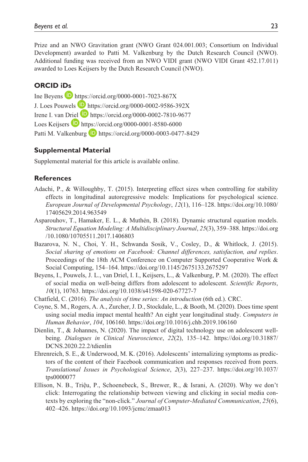Prize and an NWO Gravitation grant (NWO Grant 024.001.003; Consortium on Individual Development) awarded to Patti M. Valkenburg by the Dutch Research Council (NWO). Additional funding was received from an NWO VIDI grant (NWO VIDI Grant 452.17.011) awarded to Loes Keijsers by the Dutch Research Council (NWO).

# **ORCID iDs**

Ine Beyens  $\blacksquare$  <https://orcid.org/0000-0001-7023-867X> J. Loes Pouwels **D** [https://orcid.org/0000-0002-9586-392X](ttps://orcid.org/0000-0002-9586-392X) Irene I. van Driel <https://orcid.org/0000-0002-7810-9677> Loes Keijsers  $\Box$  <https://orcid.org/0000-0001-8580-6000> Patti M. Valkenburg **D** <https://orcid.org/0000-0003-0477-8429>

#### **Supplemental Material**

Supplemental material for this article is available online.

#### **References**

- Adachi, P., & Willoughby, T. (2015). Interpreting effect sizes when controlling for stability effects in longitudinal autoregressive models: Implications for psychological science. *European Journal of Developmental Psychology*, *12*(1), 116–128. [https://doi.org/10.1080/](https://doi.org/10.1080/17405629.2014.963549) [17405629.2014.963549](https://doi.org/10.1080/17405629.2014.963549)
- Asparouhov, T., Hamaker, E. L., & Muthén, B. (2018). Dynamic structural equation models. *Structural Equation Modeling: A Multidisciplinary Journal*, *25*(3), 359–388. [https://doi.org](https://doi.org/10.1080/10705511.2017.1406803) [/10.1080/10705511.2017.1406803](https://doi.org/10.1080/10705511.2017.1406803)
- Bazarova, N. N., Choi, Y. H., Schwanda Sosik, V., Cosley, D., & Whitlock, J. (2015). *Social sharing of emotions on Facebook: Channel differences, satisfaction, and replies*. Proceedings of the 18th ACM Conference on Computer Supported Cooperative Work & Social Computing, 154–164. <https://doi.org/10.1145/2675133.2675297>
- Beyens, I., Pouwels, J. L., van Driel, I. I., Keijsers, L., & Valkenburg, P. M. (2020). The effect of social media on well-being differs from adolescent to adolescent. *Scientific Reports*, *10*(1), 10763. <https://doi.org/10.1038/s41598-020-67727-7>
- Chatfield, C. (2016). *The analysis of time series: An introduction* (6th ed.). CRC.
- Coyne, S. M., Rogers, A. A., Zurcher, J. D., Stockdale, L., & Booth, M. (2020). Does time spent using social media impact mental health? An eight year longitudinal study. *Computers in Human Behavior*, *104*, 106160. <https://doi.org/10.1016/j.chb.2019.106160>
- Dienlin, T., & Johannes, N. (2020). The impact of digital technology use on adolescent wellbeing. *Dialogues in Clinical Neuroscience*, *22*(2), 135–142. [https://doi.org/10.31887/](https://doi.org/10.31887/DCNS.2020.22.2/tdienlin) [DCNS.2020.22.2/tdienlin](https://doi.org/10.31887/DCNS.2020.22.2/tdienlin)
- Ehrenreich, S. E., & Underwood, M. K. (2016). Adolescents' internalizing symptoms as predictors of the content of their Facebook communication and responses received from peers. *Translational Issues in Psychological Science*, *2*(3), 227–237. [https://doi.org/10.1037/](https://doi.org/10.1037/tps0000077) [tps0000077](https://doi.org/10.1037/tps0000077)
- Ellison, N. B., Triệu, P., Schoenebeck, S., Brewer, R., & Israni, A. (2020). Why we don't click: Interrogating the relationship between viewing and clicking in social media contexts by exploring the "non-click." *Journal of Computer-Mediated Communication*, *25*(6), 402–426.<https://doi.org/10.1093/jcmc/zmaa013>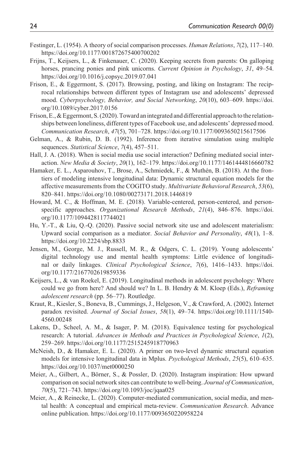- Festinger, L. (1954). A theory of social comparison processes. *Human Relations*, *7*(2), 117–140. <https://doi.org/10.1177/001872675400700202>
- Frijns, T., Keijsers, L., & Finkenauer, C. (2020). Keeping secrets from parents: On galloping horses, prancing ponies and pink unicorns. *Current Opinion in Psychology*, *31*, 49–54. <https://doi.org/10.1016/j.copsyc.2019.07.041>
- Frison, E., & Eggermont, S. (2017). Browsing, posting, and liking on Instagram: The reciprocal relationships between different types of Instagram use and adolescents' depressed mood. *Cyberpsychology, Behavior, and Social Networking*, *20*(10), 603–609. [https://doi.](https://doi.org/10.1089/cyber.2017.0156) [org/10.1089/cyber.2017.0156](https://doi.org/10.1089/cyber.2017.0156)
- Frison, E., & Eggermont, S. (2020). Toward an integrated and differential approach to the relationships between loneliness, different types of Facebook use, and adolescents' depressed mood. *Communication Research*, *47*(5), 701–728. <https://doi.org/10.1177/0093650215617506>
- Gelman, A., & Rubin, D. B. (1992). Inference from iterative simulation using multiple sequences. *Statistical Science*, *7*(4), 457–511.
- Hall, J. A. (2018). When is social media use social interaction? Defining mediated social interaction. *New Media & Society*, *20*(1), 162–179.<https://doi.org/10.1177/1461444816660782>
- Hamaker, E. L., Asparouhov, T., Brose, A., Schmiedek, F., & Muthén, B. (2018). At the frontiers of modeling intensive longitudinal data: Dynamic structural equation models for the affective measurements from the COGITO study. *Multivariate Behavioral Research*, *53*(6), 820–841.<https://doi.org/10.1080/00273171.2018.1446819>
- Howard, M. C., & Hoffman, M. E. (2018). Variable-centered, person-centered, and personspecific approaches. *Organizational Research Methods*, *21*(4), 846–876. [https://doi.](https://doi.org/10.1177/1094428117744021) [org/10.1177/1094428117744021](https://doi.org/10.1177/1094428117744021)
- Hu, Y.-T., & Liu, Q.-Q. (2020). Passive social network site use and adolescent materialism: Upward social comparison as a mediator. *Social Behavior and Personality*, *48*(1), 1–8. <https://doi.org/10.2224/sbp.8833>
- Jensen, M., George, M. J., Russell, M. R., & Odgers, C. L. (2019). Young adolescents' digital technology use and mental health symptoms: Little evidence of longitudinal or daily linkages. *Clinical Psychological Science*, *7*(6), 1416–1433. [https://doi.](https://doi.org/10.1177/2167702619859336) [org/10.1177/2167702619859336](https://doi.org/10.1177/2167702619859336)
- Keijsers, L., & van Roekel, E. (2019). Longitudinal methods in adolescent psychology: Where could we go from here? And should we? In L. B. Hendry & M. Kloep (Eds.), *Reframing adolescent research* (pp. 56–77). Routledge.
- Kraut, R., Kiesler, S., Boneva, B., Cummings, J., Helgeson, V., & Crawford, A. (2002). Internet paradox revisited. *Journal of Social Issues*, *58*(1), 49–74. [https://doi.org/10.1111/1540-](https://doi.org/10.1111/1540-4560.00248) [4560.00248](https://doi.org/10.1111/1540-4560.00248)
- Lakens, D., Scheel, A. M., & Isager, P. M. (2018). Equivalence testing for psychological research: A tutorial. *Advances in Methods and Practices in Psychological Science*, *1*(2), 259–269.<https://doi.org/10.1177/2515245918770963>
- McNeish, D., & Hamaker, E. L. (2020). A primer on two-level dynamic structural equation models for intensive longitudinal data in Mplus. *Psychological Methods*, *25*(5), 610–635. <https://doi.org/10.1037/met0000250>
- Meier, A., Gilbert, A., Börner, S., & Possler, D. (2020). Instagram inspiration: How upward comparison on social network sites can contribute to well-being. *Journal of Communication*, *70*(5), 721–743. <https://doi.org/10.1093/joc/jqaa025>
- Meier, A., & Reinecke, L. (2020). Computer-mediated communication, social media, and mental health: A conceptual and empirical meta-review. *Communication Research*. Advance online publication. <https://doi.org/10.1177/0093650220958224>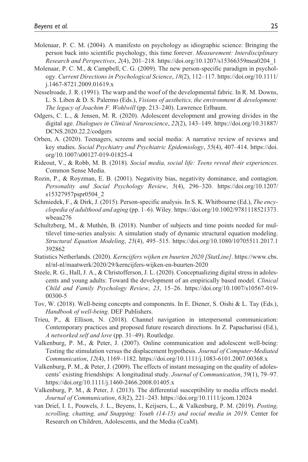- Molenaar, P. C. M. (2004). A manifesto on psychology as idiographic science: Bringing the person back into scientific psychology, this time forever. *Measurement: Interdisciplinary Research and Perspectives*, *2*(4), 201–218. [https://doi.org/10.1207/s15366359mea0204\\_1](https://doi.org/10.1207/s15366359mea0204_1)
- Molenaar, P. C. M., & Campbell, C. G. (2009). The new person-specific paradigm in psychology. *Current Directions in Psychological Science*, *18*(2), 112–117. [https://doi.org/10.1111/](https://doi.org/10.1111/j.1467-8721.2009.01619.x) [j.1467-8721.2009.01619.x](https://doi.org/10.1111/j.1467-8721.2009.01619.x)
- Nesselroade, J. R. (1991). The warp and the woof of the developmental fabric. In R. M. Downs, L. S. Liben & D. S. Palermo (Eds.), *Visions of aesthetics, the environment & development: The legacy of Joachim F. Wohlwill* (pp. 213–240). Lawrence Erlbaum.
- Odgers, C. L., & Jensen, M. R. (2020). Adolescent development and growing divides in the digital age. *Dialogues in Clinical Neuroscience*, *22*(2), 143–149. [https://doi.org/10.31887/](https://doi.org/10.31887/DCNS.2020.22.2/codgers) [DCNS.2020.22.2/codgers](https://doi.org/10.31887/DCNS.2020.22.2/codgers)
- Orben, A. (2020). Teenagers, screens and social media: A narrative review of reviews and key studies. *Social Psychiatry and Psychiatric Epidemiology*, *55*(4), 407–414. [https://doi.](https://doi.org/10.1007/s00127-019-01825-4) [org/10.1007/s00127-019-01825-4](https://doi.org/10.1007/s00127-019-01825-4)
- Rideout, V., & Robb, M. B. (2018). *Social media, social life: Teens reveal their experiences*. Common Sense Media.
- Rozin, P., & Royzman, E. B. (2001). Negativity bias, negativity dominance, and contagion. *Personality and Social Psychology Review*, *5*(4), 296–320. [https://doi.org/10.1207/](https://doi.org/10.1207/s15327957pspr0504_2) [s15327957pspr0504\\_2](https://doi.org/10.1207/s15327957pspr0504_2)
- Schmiedek, F., & Dirk, J. (2015). Person-specific analysis. In S. K. Whitbourne (Ed.), *The encyclopedia of adulthood and aging* (pp. 1–6). Wiley. [https://doi.org/10.1002/9781118521373.](https://doi.org/10.1002/9781118521373.wbeaa276) [wbeaa276](https://doi.org/10.1002/9781118521373.wbeaa276)
- Schultzberg, M., & Muthén, B. (2018). Number of subjects and time points needed for multilevel time-series analysis: A simulation study of dynamic structural equation modeling. *Structural Equation Modeling*, *25*(4), 495–515. [https://doi.org/10.1080/10705511.2017.1](https://doi.org/10.1080/10705511.2017.1392862) [392862](https://doi.org/10.1080/10705511.2017.1392862)
- Statistics Netherlands. (2020). *Kerncijfers wijken en buurten 2020 [StatLine]*. [https://www.cbs.](https://www.cbs.nl/nl-nl/maatwerk/2020/29/kerncijfers-wijken-en-buurten-2020) [nl/nl-nl/maatwerk/2020/29/kerncijfers-wijken-en-buurten-2020](https://www.cbs.nl/nl-nl/maatwerk/2020/29/kerncijfers-wijken-en-buurten-2020)
- Steele, R. G., Hall, J. A., & Christofferson, J. L. (2020). Conceptualizing digital stress in adolescents and young adults: Toward the development of an empirically based model. *Clinical Child and Family Psychology Review*, *23*, 15–26. [https://doi.org/10.1007/s10567-019-](https://doi.org/10.1007/s10567-019-00300-5) [00300-5](https://doi.org/10.1007/s10567-019-00300-5)
- Tov, W. (2018). Well-being concepts and components. In E. Diener, S. Oishi & L. Tay (Eds.), *Handbook of well-being*. DEF Publishers.
- Trieu, P., & Ellison, N. (2018). Channel navigation in interpersonal communication: Contemporary practices and proposed future research directions. In Z. Papacharissi (Ed.), *A networked self and love* (pp. 31–49). Routledge.
- Valkenburg, P. M., & Peter, J. (2007). Online communication and adolescent well-being: Testing the stimulation versus the displacement hypothesis. *Journal of Computer-Mediated Communication*, *12*(4), 1169–1182. <https://doi.org/10.1111/j.1083-6101.2007.00368.x>
- Valkenburg, P. M., & Peter, J. (2009). The effects of instant messaging on the quality of adolescents' existing friendships: A longitudinal study. *Journal of Communication*, *59*(1), 79–97. <https://doi.org/10.1111/j.1460-2466.2008.01405.x>
- Valkenburg, P. M., & Peter, J. (2013). The differential susceptibility to media effects model. *Journal of Communication*, *63*(2), 221–243.<https://doi.org/10.1111/jcom.12024>
- van Driel, I. I., Pouwels, J. L., Beyens, I., Keijsers, L., & Valkenburg, P. M. (2019). *Posting, scrolling, chatting, and Snapping: Youth (14-15) and social media in 2019*. Center for Research on Children, Adolescents, and the Media (CcaM).